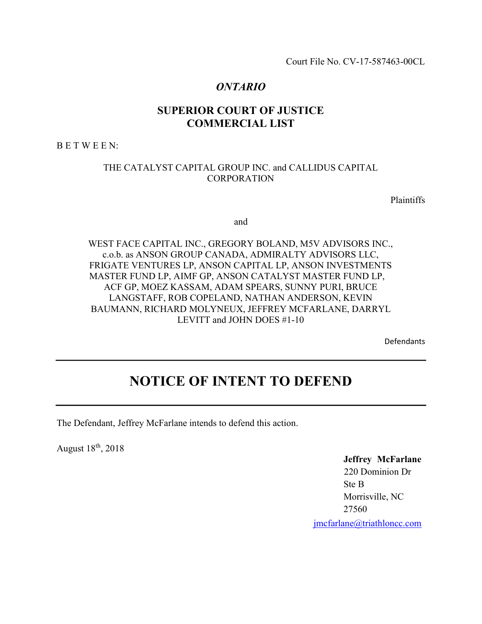Court File No. CV-17-587463-00CL

# ONTARIO

# SUPERIOR COURT OF JUSTICE COMMERCIAL LIST

B E T W E E N:

## THE CATALYST CAPITAL GROUP INC. and CALLIDUS CAPITAL **CORPORATION**

Plaintiffs

and

WEST FACE CAPITAL INC., GREGORY BOLAND, M5V ADVISORS INC., c.o.b. as ANSON GROUP CANADA, ADMIRALTY ADVISORS LLC, FRIGATE VENTURES LP, ANSON CAPITAL LP, ANSON INVESTMENTS MASTER FUND LP, AIMF GP, ANSON CATALYST MASTER FUND LP, ACF GP, MOEZ KASSAM, ADAM SPEARS, SUNNY PURI, BRUCE LANGSTAFF, ROB COPELAND, NATHAN ANDERSON, KEVIN BAUMANN, RICHARD MOLYNEUX, JEFFREY MCFARLANE, DARRYL LEVITT and JOHN DOES #1-10

Defendants

# NOTICE OF INTENT TO DEFEND

The Defendant, Jeffrey McFarlane intends to defend this action.

August 18th, 2018

Jeffrey McFarlane 220 Dominion Dr Ste B Morrisville, NC 27560 jmcfarlane@triathloncc.com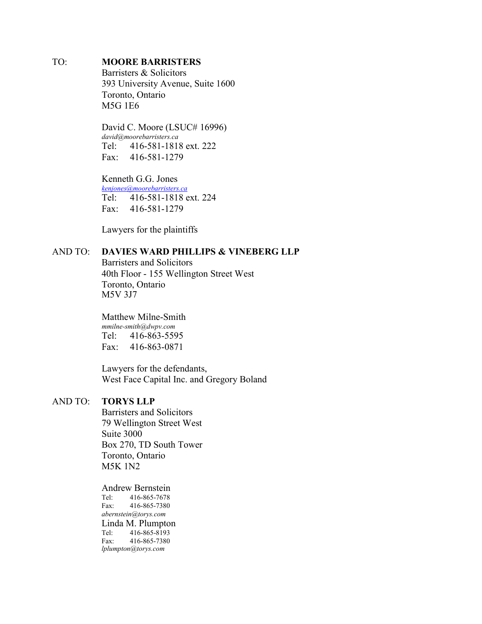## TO: MOORE BARRISTERS

Barristers & Solicitors 393 University Avenue, Suite 1600 Toronto, Ontario M5G 1E6

David C. Moore (LSUC# 16996) david@moorebarristers.ca Tel: 416-581-1818 ext. 222 Fax: 416-581-1279

Kenneth G.G. Jones kenjones@moorebarristers.ca Tel: 416-581-1818 ext. 224 Fax: 416-581-1279

Lawyers for the plaintiffs

## AND TO: DAVIES WARD PHILLIPS & VINEBERG LLP

Barristers and Solicitors 40th Floor - 155 Wellington Street West Toronto, Ontario M5V 3J7

Matthew Milne-Smith mmilne-smith@dwpv.com Tel: 416-863-5595 Fax: 416-863-0871

Lawyers for the defendants, West Face Capital Inc. and Gregory Boland

## AND TO: TORYS LLP

Barristers and Solicitors 79 Wellington Street West Suite 3000 Box 270, TD South Tower Toronto, Ontario M5K 1N2

Andrew Bernstein Tel: 416-865-7678 Fax: 416-865-7380 abernstein@torys.com Linda M. Plumpton<br>Tel: 416-865-8193 Tel: 416-865-8193 Fax: 416-865-7380 lplumpton@torys.com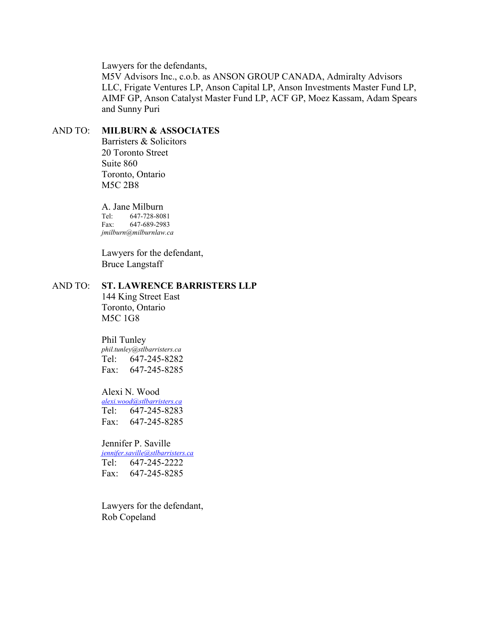Lawyers for the defendants,

M5V Advisors Inc., c.o.b. as ANSON GROUP CANADA, Admiralty Advisors LLC, Frigate Ventures LP, Anson Capital LP, Anson Investments Master Fund LP, AIMF GP, Anson Catalyst Master Fund LP, ACF GP, Moez Kassam, Adam Spears and Sunny Puri

## AND TO: MILBURN & ASSOCIATES

Barristers & Solicitors 20 Toronto Street Suite 860 Toronto, Ontario M5C 2B8

A. Jane Milburn

Tel: 647-728-8081 Fax: 647-689-2983 jmilburn@milburnlaw.ca

Lawyers for the defendant, Bruce Langstaff

## AND TO: ST. LAWRENCE BARRISTERS LLP

144 King Street East Toronto, Ontario M5C 1G8

#### Phil Tunley

phil.tunley@stlbarristers.ca Tel: 647-245-8282 Fax: 647-245-8285

#### Alexi N. Wood

alexi.wood@stlbarristers.ca Tel: 647-245-8283 Fax: 647-245-8285

## Jennifer P. Saville

jennifer.saville@stlbarristers.ca Tel: 647-245-2222 Fax: 647-245-8285

Lawyers for the defendant, Rob Copeland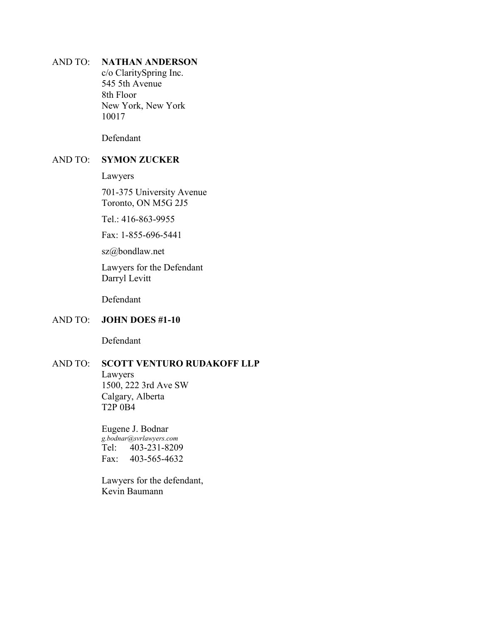## AND TO: NATHAN ANDERSON

c/o ClaritySpring Inc. 545 5th Avenue 8th Floor New York, New York 10017

Defendant

## AND TO: SYMON ZUCKER

Lawyers

701-375 University Avenue Toronto, ON M5G 2J5

Tel.: 416-863-9955

Fax: 1-855-696-5441

sz@bondlaw.net

Lawyers for the Defendant Darryl Levitt

Defendant

## AND TO: JOHN DOES #1-10

Defendant

## AND TO: SCOTT VENTURO RUDAKOFF LLP

Lawyers 1500, 222 3rd Ave SW Calgary, Alberta T2P 0B4

Eugene J. Bodnar g.bodnar@svrlawyers.com Tel: 403-231-8209 Fax: 403-565-4632

Lawyers for the defendant, Kevin Baumann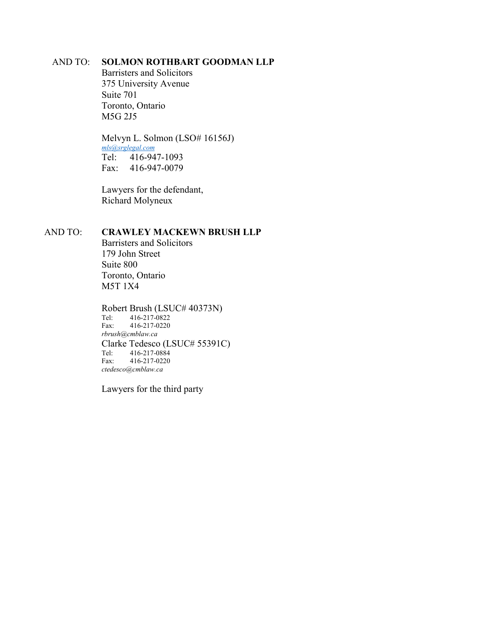## AND TO: SOLMON ROTHBART GOODMAN LLP

Barristers and Solicitors 375 University Avenue Suite 701 Toronto, Ontario M5G 2J5

Melvyn L. Solmon (LSO# 16156J) mls@srglegal.com Tel: 416-947-1093 Fax: 416-947-0079

Lawyers for the defendant, Richard Molyneux

## AND TO: CRAWLEY MACKEWN BRUSH LLP

Barristers and Solicitors 179 John Street Suite 800 Toronto, Ontario M5T 1X4

Robert Brush (LSUC# 40373N)<br>Tel: 416-217-0822

Tel: 416-217-0822<br>Fax: 416-217-0220 Fax: 416-217-0220 rbrush@cmblaw.ca Clarke Tedesco (LSUC# 55391C) Tel: 416-217-0884 Fax: 416-217-0220 ctedesco@cmblaw.ca

Lawyers for the third party